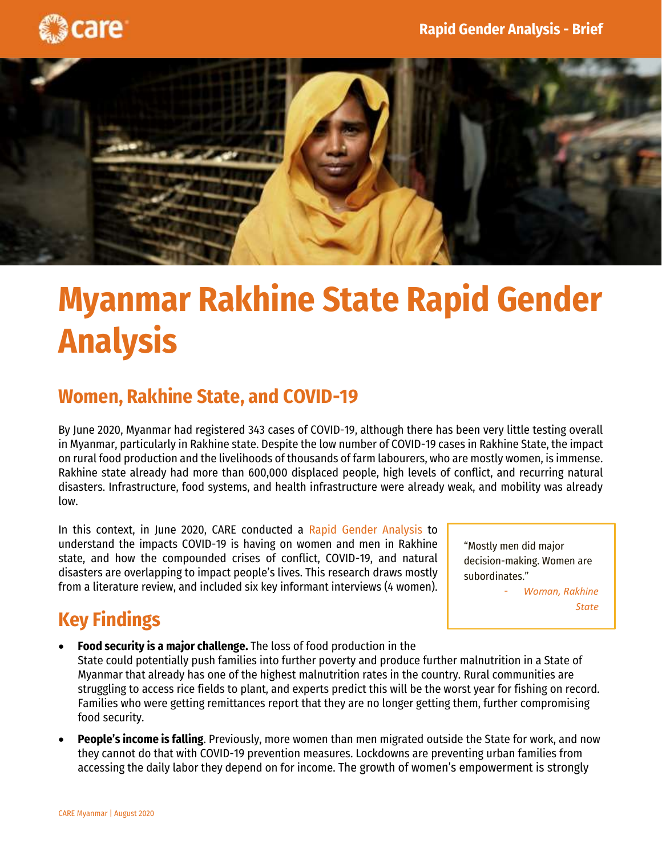



## **Myanmar Rakhine State Rapid Gender Analysis**

## **Women, Rakhine State, and COVID-19**

By June 2020, Myanmar had registered 343 cases of COVID-19, although there has been very little testing overall in Myanmar, particularly in Rakhine state. Despite the low number of COVID-19 cases in Rakhine State, the impact on rural food production and the livelihoods of thousands of farm labourers, who are mostly women, is immense. Rakhine state already had more than 600,000 displaced people, high levels of conflict, and recurring natural disasters. Infrastructure, food systems, and health infrastructure were already weak, and mobility was already low.

In this context, in June 2020, CARE conducted a Rapid Gender Analysis to understand the impacts COVID-19 is having on women and men in Rakhine state, and how the compounded crises of conflict, COVID-19, and natural disasters are overlapping to impact people's lives. This research draws mostly from a literature review, and included six key informant interviews (4 women).

"Mostly men did major decision-making. Women are subordinates."

> - *Woman, Rakhine State*

## **Key Findings**

- **Food security is a major challenge.** The loss of food production in the State could potentially push families into further poverty and produce further malnutrition in a State of Myanmar that already has one of the highest malnutrition rates in the country. Rural communities are struggling to access rice fields to plant, and experts predict this will be the worst year for fishing on record. Families who were getting remittances report that they are no longer getting them, further compromising food security.
- **People's income is falling**. Previously, more women than men migrated outside the State for work, and now they cannot do that with COVID-19 prevention measures. Lockdowns are preventing urban families from accessing the daily labor they depend on for income. The growth of women's empowerment is strongly